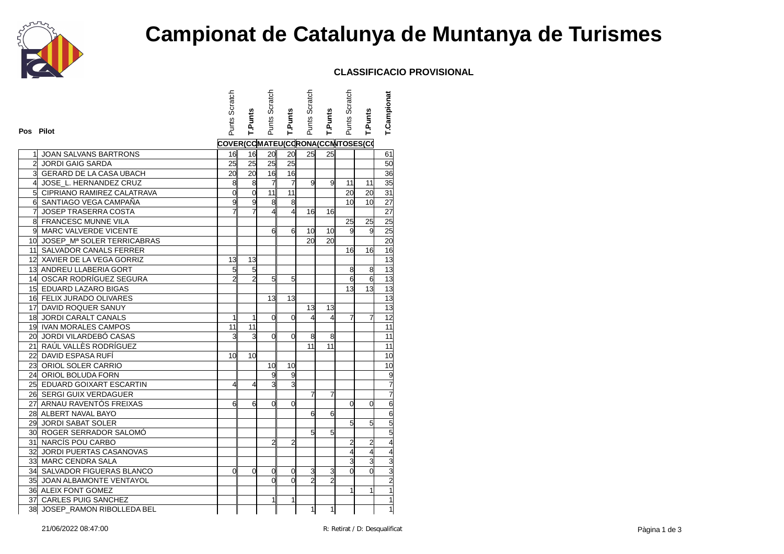

# **Campionat de Catalunya de Muntanya de Turismes**

### **CLASSIFICACIO PROVISIONAL**

| COVER(CCMATEU(CCRONA(CCNTOSES(CO<br>25<br>20<br><b>JOAN SALVANS BARTRONS</b><br>16<br>16<br>20<br>25<br>25<br>25<br>25<br>25<br><b>JORDI GAIG SARDA</b><br>$\frac{1}{6}$<br>3 GERARD DE LA CASA UBACH<br>20<br>16<br>20<br>$\overline{7}$<br>$\overline{7}$<br>œ.<br>$\overline{9}$<br>JOSE_L. HERNANDEZ CRUZ<br>8<br>9<br>11<br>11<br>11<br>11<br>5 CIPRIANO RAMIREZ CALATRAVA<br>$\overline{0}$<br>$\overline{0}$<br>20<br>20<br>8<br>8<br>10<br>6<br>SANTIAGO VEGA CAMPAÑA<br>9<br>9<br>10<br>7<br>$\overline{4}$<br>$\overline{7}$<br>$\overline{4}$<br>JOSEP TRASERRA COSTA<br>16<br>16<br>8 FRANCESC MUNNE VILA<br>25<br>25<br>9 MARC VALVERDE VICENTE<br>9<br>6<br>6<br>10<br>9<br>10 | Pos Pilot                     | Punts Scratch | T.Punts | Punts Scratch | T.Punts | Punts Scratch | <b>T.Punts</b> | Punts Scratch | T.Punts | T.Campionat     |
|----------------------------------------------------------------------------------------------------------------------------------------------------------------------------------------------------------------------------------------------------------------------------------------------------------------------------------------------------------------------------------------------------------------------------------------------------------------------------------------------------------------------------------------------------------------------------------------------------------------------------------------------------------------------------------------------|-------------------------------|---------------|---------|---------------|---------|---------------|----------------|---------------|---------|-----------------|
|                                                                                                                                                                                                                                                                                                                                                                                                                                                                                                                                                                                                                                                                                              |                               |               |         |               |         |               |                |               |         |                 |
|                                                                                                                                                                                                                                                                                                                                                                                                                                                                                                                                                                                                                                                                                              |                               |               |         |               |         |               |                |               |         | 61              |
|                                                                                                                                                                                                                                                                                                                                                                                                                                                                                                                                                                                                                                                                                              |                               |               |         |               |         |               |                |               |         | 50              |
|                                                                                                                                                                                                                                                                                                                                                                                                                                                                                                                                                                                                                                                                                              |                               |               |         |               |         |               |                |               |         | 36              |
|                                                                                                                                                                                                                                                                                                                                                                                                                                                                                                                                                                                                                                                                                              |                               |               |         |               |         |               |                |               |         | 35              |
|                                                                                                                                                                                                                                                                                                                                                                                                                                                                                                                                                                                                                                                                                              |                               |               |         |               |         |               |                |               |         | 31              |
|                                                                                                                                                                                                                                                                                                                                                                                                                                                                                                                                                                                                                                                                                              |                               |               |         |               |         |               |                |               |         | 27              |
|                                                                                                                                                                                                                                                                                                                                                                                                                                                                                                                                                                                                                                                                                              |                               |               |         |               |         |               |                |               |         | 27              |
|                                                                                                                                                                                                                                                                                                                                                                                                                                                                                                                                                                                                                                                                                              |                               |               |         |               |         |               |                |               |         | 25              |
|                                                                                                                                                                                                                                                                                                                                                                                                                                                                                                                                                                                                                                                                                              |                               |               |         |               |         |               |                |               |         | 25              |
|                                                                                                                                                                                                                                                                                                                                                                                                                                                                                                                                                                                                                                                                                              | 10 JOSEP_Mª SOLER TERRICABRAS |               |         |               |         | 20            | 20             |               |         | $\overline{20}$ |
| 11 SALVADOR CANALS FERRER<br>16<br>16                                                                                                                                                                                                                                                                                                                                                                                                                                                                                                                                                                                                                                                        |                               |               |         |               |         |               |                |               |         | 16              |
| 12 XAVIER DE LA VEGA GORRIZ<br>13<br>13                                                                                                                                                                                                                                                                                                                                                                                                                                                                                                                                                                                                                                                      |                               |               |         |               |         |               |                |               |         | 13              |
| 13 ANDREU LLABERIA GORT<br>5<br>5<br>8<br>8                                                                                                                                                                                                                                                                                                                                                                                                                                                                                                                                                                                                                                                  |                               |               |         |               |         |               |                |               |         | 13              |
| $\overline{c}$<br>6<br>14 OSCAR RODRÍGUEZ SEGURA<br>$\overline{c}$<br>5<br>6<br>5                                                                                                                                                                                                                                                                                                                                                                                                                                                                                                                                                                                                            |                               |               |         |               |         |               |                |               |         | $\overline{13}$ |
| 15 EDUARD LAZARO BIGAS<br>13<br>13                                                                                                                                                                                                                                                                                                                                                                                                                                                                                                                                                                                                                                                           |                               |               |         |               |         |               |                |               |         | 13              |
| 16 FELIX JURADO OLIVARES<br>13<br>13                                                                                                                                                                                                                                                                                                                                                                                                                                                                                                                                                                                                                                                         |                               |               |         |               |         |               |                |               |         | 13              |
| 17 DAVID ROQUER SANUY<br>13<br>13                                                                                                                                                                                                                                                                                                                                                                                                                                                                                                                                                                                                                                                            |                               |               |         |               |         |               |                |               |         | $\overline{a}$  |
| 18 JORDI CARALT CANALS<br>$\overline{0}$<br>$\overline{0}$<br>4<br>$\overline{4}$<br>1<br>7<br>7<br>1                                                                                                                                                                                                                                                                                                                                                                                                                                                                                                                                                                                        |                               |               |         |               |         |               |                |               |         | 12              |
| 19 IVAN MORALES CAMPOS<br>11<br>11                                                                                                                                                                                                                                                                                                                                                                                                                                                                                                                                                                                                                                                           |                               |               |         |               |         |               |                |               |         | $\overline{11}$ |
| 20 JORDI VILARDEBÓ CASAS<br>3<br>3<br>$\overline{0}$<br>0<br>8<br>8                                                                                                                                                                                                                                                                                                                                                                                                                                                                                                                                                                                                                          |                               |               |         |               |         |               |                |               |         | 11              |
| 21 RAÚL VALLÈS RODRÍGUEZ<br>11<br>11                                                                                                                                                                                                                                                                                                                                                                                                                                                                                                                                                                                                                                                         |                               |               |         |               |         |               |                |               |         | 11              |
| 22 DAVID ESPASA RUFÍ<br>10<br>10                                                                                                                                                                                                                                                                                                                                                                                                                                                                                                                                                                                                                                                             |                               |               |         |               |         |               |                |               |         | $\overline{10}$ |
| 23 ORIOL SOLER CARRIO<br>10<br>10                                                                                                                                                                                                                                                                                                                                                                                                                                                                                                                                                                                                                                                            |                               |               |         |               |         |               |                |               |         | 10              |
| 9<br>9<br>24 ORIOL BOLUDA FORN                                                                                                                                                                                                                                                                                                                                                                                                                                                                                                                                                                                                                                                               |                               |               |         |               |         |               |                |               |         | 9               |
| ვ<br>3<br>25 EDUARD GOIXART ESCARTIN<br>4<br>4                                                                                                                                                                                                                                                                                                                                                                                                                                                                                                                                                                                                                                               |                               |               |         |               |         |               |                |               |         | $\overline{7}$  |
| 26 SERGI GUIX VERDAGUER<br>7<br>7                                                                                                                                                                                                                                                                                                                                                                                                                                                                                                                                                                                                                                                            |                               |               |         |               |         |               |                |               |         | 7               |
| 27 ARNAU RAVENTÓS FREIXAS<br>0<br>0<br>6<br>6<br>0<br>0                                                                                                                                                                                                                                                                                                                                                                                                                                                                                                                                                                                                                                      |                               |               |         |               |         |               |                |               |         | 6               |
| 28 ALBERT NAVAL BAYO<br>6<br>6                                                                                                                                                                                                                                                                                                                                                                                                                                                                                                                                                                                                                                                               |                               |               |         |               |         |               |                |               |         |                 |
| 29 JORDI SABAT SOLER<br>5<br>5                                                                                                                                                                                                                                                                                                                                                                                                                                                                                                                                                                                                                                                               |                               |               |         |               |         |               |                |               |         |                 |
| 30 ROGER SERRADOR SALOMÓ<br>5<br>5                                                                                                                                                                                                                                                                                                                                                                                                                                                                                                                                                                                                                                                           |                               |               |         |               |         |               |                |               |         | 5<br>5<br>5     |
| 31 NARCÍS POU CARBO<br>$\overline{2}$<br>$\overline{2}$<br>$\overline{2}$<br>$\overline{2}$                                                                                                                                                                                                                                                                                                                                                                                                                                                                                                                                                                                                  |                               |               |         |               |         |               |                |               |         | 4               |
| 32 JORDI PUERTAS CASANOVAS<br>4<br>4                                                                                                                                                                                                                                                                                                                                                                                                                                                                                                                                                                                                                                                         |                               |               |         |               |         |               |                |               |         |                 |
| 3<br>3<br>33 MARC CENDRA SALA                                                                                                                                                                                                                                                                                                                                                                                                                                                                                                                                                                                                                                                                |                               |               |         |               |         |               |                |               |         |                 |
| $\overline{0}$<br>34 SALVADOR FIGUERAS BLANCO<br>3<br>3<br>$\Omega$<br>$\Omega$<br>$\Omega$<br>0<br>$\overline{0}$                                                                                                                                                                                                                                                                                                                                                                                                                                                                                                                                                                           |                               |               |         |               |         |               |                |               |         | $\frac{3}{3}$   |
| $\overline{2}$<br>$\overline{2}$<br>35 JOAN ALBAMONTE VENTAYOL<br>0<br>$\overline{0}$                                                                                                                                                                                                                                                                                                                                                                                                                                                                                                                                                                                                        |                               |               |         |               |         |               |                |               |         | $\mathbf{p}$    |
| 36 ALEIX FONT GOMEZ<br>1<br>1                                                                                                                                                                                                                                                                                                                                                                                                                                                                                                                                                                                                                                                                |                               |               |         |               |         |               |                |               |         | $\overline{1}$  |
| 37 CARLES PUIG SANCHEZ<br>1<br>1                                                                                                                                                                                                                                                                                                                                                                                                                                                                                                                                                                                                                                                             |                               |               |         |               |         |               |                |               |         | 1               |
| 38 JOSEP_RAMON RIBOLLEDA BEL<br>1<br>1                                                                                                                                                                                                                                                                                                                                                                                                                                                                                                                                                                                                                                                       |                               |               |         |               |         |               |                |               |         | $\mathbf 1$     |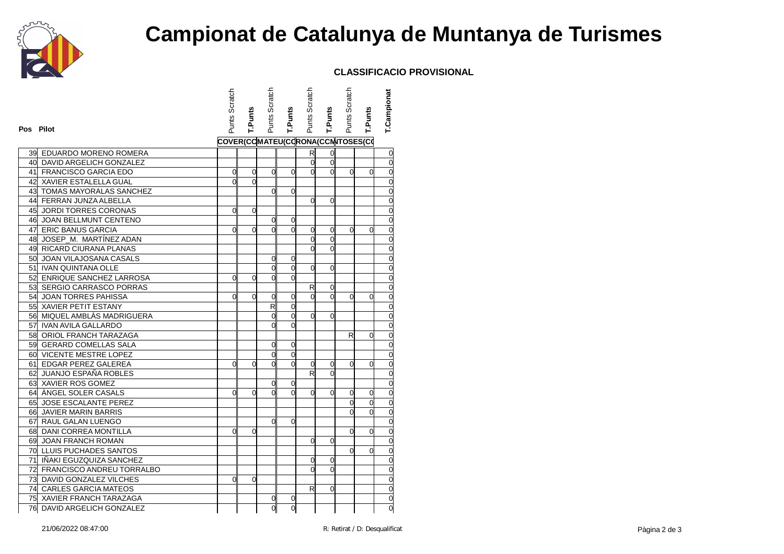

# **Campionat de Catalunya de Muntanya de Turismes**

### **CLASSIFICACIO PROVISIONAL**

|           |                              | Punts Scratch                    |                | Punts Scratch  |                | Punts Scratch  |             | Punts Scratch  |                | T.Campionat    |
|-----------|------------------------------|----------------------------------|----------------|----------------|----------------|----------------|-------------|----------------|----------------|----------------|
|           |                              |                                  | T.Punts        |                | <b>T.Punts</b> |                | T.Punts     |                | T.Punts        |                |
| Pos Pilot |                              |                                  |                |                |                |                |             |                |                |                |
|           |                              | COVER(CCMATEU(CCRONA(CCNTOSES(CO |                |                |                |                |             |                |                |                |
|           | 39 EDUARDO MORENO ROMERA     |                                  |                |                |                | R              | 0           |                |                | $\mathbf 0$    |
|           | 40 DAVID ARGELICH GONZALEZ   |                                  |                |                |                | $\overline{0}$ | $\mathbf 0$ |                |                | o              |
|           | 41 FRANCISCO GARCIA EDO      | 0                                | 0              | $\Omega$       | $\Omega$       | $\overline{0}$ | $\Omega$    | $\overline{0}$ | 0              | $\mathbf 0$    |
|           | 42 XAVIER ESTALELLA GUAL     | $\mathbf{0}$                     | $\overline{0}$ |                |                |                |             |                |                | $\overline{0}$ |
|           | 43 TOMAS MAYORALAS SANCHEZ   |                                  |                | $\Omega$       | 0              |                |             |                |                | $\overline{0}$ |
|           | 44 FERRAN JUNZA ALBELLA      |                                  |                |                |                | $\Omega$       | 0           |                |                | $\mathbf{0}$   |
| 45        | <b>JORDI TORRES CORONAS</b>  | $\Omega$                         | 0              |                |                |                |             |                |                | $\overline{0}$ |
|           | 46 JOAN BELLMUNT CENTENO     |                                  |                | 0              | 0              |                |             |                |                | $\mathbf{0}$   |
|           | 47 ERIC BANUS GARCIA         | $\Omega$                         | $\Omega$       | $\Omega$       | $\Omega$       | $\overline{0}$ | 0           | $\Omega$       | $\Omega$       | $\overline{0}$ |
|           | 48 JOSEP_M. MARTÍNEZ ADAN    |                                  |                |                |                | $\Omega$       | 0           |                |                | $\overline{0}$ |
|           | 49 RICARD CIURANA PLANAS     |                                  |                |                |                | $\Omega$       | $\Omega$    |                |                | $\overline{0}$ |
|           | 50 JOAN VILAJOSANA CASALS    |                                  |                | 0              | 0              |                |             |                |                | $\frac{0}{0}$  |
|           | 51 IVAN QUINTANA OLLE        |                                  |                | $\mathbf{0}$   | $\Omega$       | $\Omega$       | 0           |                |                |                |
|           | 52 ENRIQUE SANCHEZ LARROSA   | $\Omega$                         | 0              | 0              | 0              |                |             |                |                | $\mathbf 0$    |
|           | 53 SERGIO CARRASCO PORRAS    |                                  |                |                |                | R              | 0           |                |                | $\overline{0}$ |
|           | 54 JOAN TORRES PAHISSA       | 0                                | 0              | 0              | 0              | $\Omega$       | 0           | $\Omega$       | 0              | $\mathbf{0}$   |
|           | 55 XAVIER PETIT ESTANY       |                                  |                | R              | $\Omega$       |                |             |                |                | $\overline{0}$ |
|           | 56 MIQUEL AMBLÀS MADRIGUERA  |                                  |                | 0              | $\Omega$       | $\Omega$       | 0           |                |                | 0              |
|           | 57 IVAN AVILA GALLARDO       |                                  |                | $\Omega$       | $\Omega$       |                |             |                |                | $\overline{0}$ |
|           | 58 ORIOL FRANCH TARAZAGA     |                                  |                |                |                |                |             | R              | 0              | $\mathbf{0}$   |
|           | 59 GERARD COMELLAS SALA      |                                  |                | $\overline{0}$ | $\overline{0}$ |                |             |                |                | $\overline{0}$ |
|           | 60 VICENTE MESTRE LOPEZ      |                                  |                | 0              | 0              |                |             |                |                | 0              |
|           | 61 EDGAR PEREZ GALEREA       | $\Omega$                         | 0              | $\overline{0}$ | $\Omega$       | 0              | 0           | $\Omega$       | $\Omega$       | $\overline{0}$ |
|           | 62 JUANJO ESPAÑA ROBLES      |                                  |                |                |                | R              | $\mathbf 0$ |                |                | $\mathbf{0}$   |
|           | 63 XAVIER ROS GOMEZ          |                                  |                | 0              | 0              |                |             |                |                | $\overline{d}$ |
|           | 64 ANGEL SOLER CASALS        | $\Omega$                         | 0              | $\Omega$       | $\Omega$       | $\Omega$       | 0           | 0              | 0              | $\frac{0}{0}$  |
|           | 65 JOSE ESCALANTE PEREZ      |                                  |                |                |                |                |             | $\overline{0}$ | $\overline{0}$ |                |
|           | 66 JAVIER MARIN BARRIS       |                                  |                |                |                |                |             | <sub>0</sub>   | $\Omega$       | $\frac{0}{0}$  |
|           | 67 RAUL GALAN LUENGO         |                                  |                | $\Omega$       | 0              |                |             |                |                |                |
|           | 68 DANI CORREA MONTILLA      | O                                | $\Omega$       |                |                |                |             | $\Omega$       | 0              | $\overline{0}$ |
|           | 69 JOAN FRANCH ROMAN         |                                  |                |                |                | 0              | 0           |                |                | $\overline{0}$ |
|           | 70 LLUIS PUCHADES SANTOS     |                                  |                |                |                |                |             | $\Omega$       | $\Omega$       | $\mathbf{0}$   |
|           | 71 IÑAKI EGUZQUIZA SANCHEZ   |                                  |                |                |                | $\mathbf 0$    | 0           |                |                | $\overline{0}$ |
|           | 72 FRANCISCO ANDREU TORRALBO |                                  |                |                |                | $\Omega$       | $\Omega$    |                |                | $\overline{0}$ |
|           | 73 DAVID GONZALEZ VILCHES    | $\overline{0}$                   | $\Omega$       |                |                |                |             |                |                | $\overline{0}$ |
|           | 74 CARLES GARCIA MATEOS      |                                  |                |                |                | R              | 0           |                |                | $\overline{0}$ |
|           | 75 XAVIER FRANCH TARAZAGA    |                                  |                | 0              | 0              |                |             |                |                | 0              |
| 76        | DAVID ARGELICH GONZALEZ      |                                  |                | $\overline{0}$ | $\mathbf 0$    |                |             |                |                | 0              |